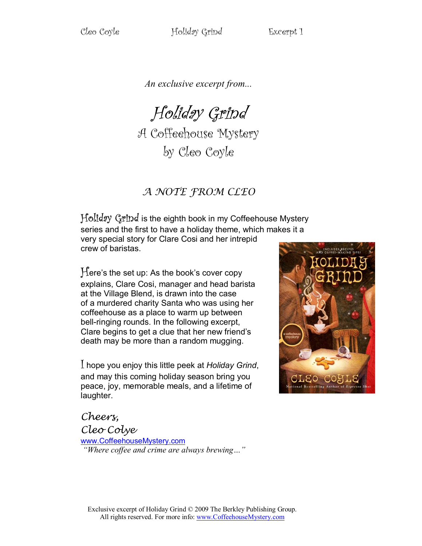*An exclusive excerpt from...* 

Holiday Grind

A Coffeehouse Mystery by Cleo Coyle

# A NOTE FROM CLEO

Holiday Grind is the eighth book in my Coffeehouse Mystery series and the first to have a holiday theme, which makes it a very special story for Clare Cosi and her intrepid crew of baristas.

Here's the set up: As the book's cover copy explains, Clare Cosi, manager and head barista at the Village Blend, is drawn into the case of a murdered charity Santa who was using her coffeehouse as a place to warm up between bell-ringing rounds. In the following excerpt, Clare begins to get a clue that her new friend's death may be more than a random mugging.

I hope you enjoy this little peek at *Holiday Grind*, and may this coming holiday season bring you peace, joy, memorable meals, and a lifetime of laughter.

Cheers, Cleo Colye www.CoffeehouseMystery.com *"Where coffee and crime are always brewing..."* 



Exclusive excerpt of Holiday Grind © 2009 The Berkley Publishing Group. All rights reserved. For more info: www.CoffeehouseMystery.com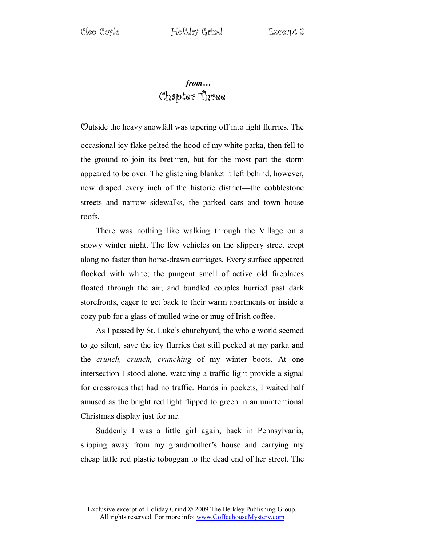# *from*... Chapter Three

Outside the heavy snowfall was tapering off into light flurries. The occasional icy flake pelted the hood of my white parka, then fell to the ground to join its brethren, but for the most part the storm appeared to be over. The glistening blanket it left behind, however, now draped every inch of the historic district—the cobblestone streets and narrow sidewalks, the parked cars and town house roofs.

There was nothing like walking through the Village on a snowy winter night. The few vehicles on the slippery street crept along no faster than horse-drawn carriages. Every surface appeared flocked with white; the pungent smell of active old fireplaces floated through the air; and bundled couples hurried past dark storefronts, eager to get back to their warm apartments or inside a cozy pub for a glass of mulled wine or mug of Irish coffee.

As I passed by St. Luke's churchyard, the whole world seemed to go silent, save the icy flurries that still pecked at my parka and the *crunch, crunch, crunching* of my winter boots. At one intersection I stood alone, watching a traffic light provide a signal for crossroads that had no traffic. Hands in pockets, I waited half amused as the bright red light flipped to green in an unintentional Christmas display just for me.

Suddenly I was a little girl again, back in Pennsylvania, slipping away from my grandmother's house and carrying my cheap little red plastic toboggan to the dead end of her street. The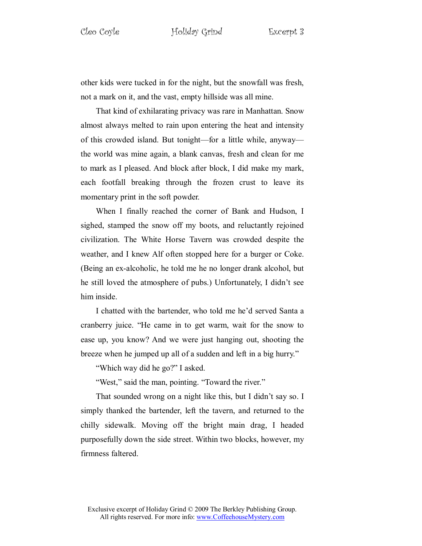other kids were tucked in for the night, but the snowfall was fresh, not a mark on it, and the vast, empty hillside was all mine.

That kind of exhilarating privacy was rare in Manhattan. Snow almost always melted to rain upon entering the heat and intensity of this crowded island. But tonight—for a little while, anyway the world was mine again, a blank canvas, fresh and clean for me to mark as I pleased. And block after block, I did make my mark, each footfall breaking through the frozen crust to leave its momentary print in the soft powder.

When I finally reached the corner of Bank and Hudson, I sighed, stamped the snow off my boots, and reluctantly rejoined civilization. The White Horse Tavern was crowded despite the weather, and I knew Alf often stopped here for a burger or Coke. (Being an ex-alcoholic, he told me he no longer drank alcohol, but he still loved the atmosphere of pubs.) Unfortunately, I didn't see him inside.

I chatted with the bartender, who told me he'd served Santa a cranberry juice. "He came in to get warm, wait for the snow to ease up, you know? And we were just hanging out, shooting the breeze when he jumped up all of a sudden and left in a big hurry."

"Which way did he go?" I asked.

"West," said the man, pointing. "Toward the river."

That sounded wrong on a night like this, but I didn't say so. I simply thanked the bartender, left the tavern, and returned to the chilly sidewalk. Moving off the bright main drag, I headed purposefully down the side street. Within two blocks, however, my firmness faltered.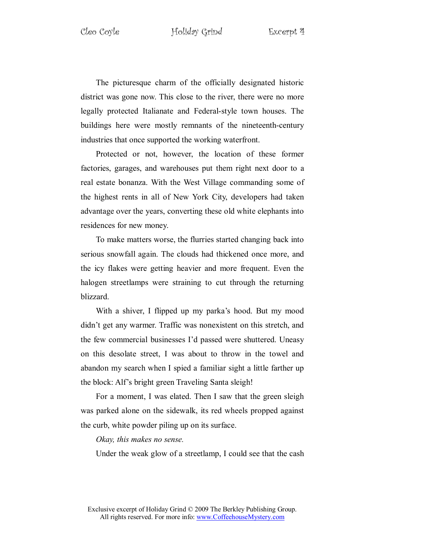The picturesque charm of the officially designated historic district was gone now. This close to the river, there were no more legally protected Italianate and Federal-style town houses. The buildings here were mostly remnants of the nineteenth-century industries that once supported the working waterfront.

Protected or not, however, the location of these former factories, garages, and warehouses put them right next door to a real estate bonanza. With the West Village commanding some of the highest rents in all of New York City, developers had taken advantage over the years, converting these old white elephants into residences for new money.

To make matters worse, the flurries started changing back into serious snowfall again. The clouds had thickened once more, and the icy flakes were getting heavier and more frequent. Even the halogen streetlamps were straining to cut through the returning blizzard.

With a shiver, I flipped up my parka's hood. But my mood didn't get any warmer. Traffic was nonexistent on this stretch, and the few commercial businesses Iíd passed were shuttered. Uneasy on this desolate street, I was about to throw in the towel and abandon my search when I spied a familiar sight a little farther up the block: Alf's bright green Traveling Santa sleigh!

For a moment, I was elated. Then I saw that the green sleigh was parked alone on the sidewalk, its red wheels propped against the curb, white powder piling up on its surface.

*Okay, this makes no sense.*

Under the weak glow of a streetlamp, I could see that the cash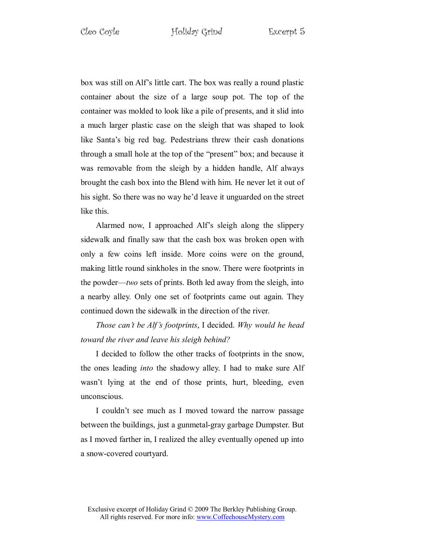box was still on Alf's little cart. The box was really a round plastic container about the size of a large soup pot. The top of the container was molded to look like a pile of presents, and it slid into a much larger plastic case on the sleigh that was shaped to look like Santa's big red bag. Pedestrians threw their cash donations through a small hole at the top of the "present" box; and because it was removable from the sleigh by a hidden handle, Alf always brought the cash box into the Blend with him. He never let it out of his sight. So there was no way he'd leave it unguarded on the street like this.

Alarmed now, I approached Alf's sleigh along the slippery sidewalk and finally saw that the cash box was broken open with only a few coins left inside. More coins were on the ground, making little round sinkholes in the snow. There were footprints in the powder—*two* sets of prints. Both led away from the sleigh, into a nearby alley. Only one set of footprints came out again. They continued down the sidewalk in the direction of the river.

*Those canít be Alfís footprints*, I decided. *Why would he head toward the river and leave his sleigh behind?*

I decided to follow the other tracks of footprints in the snow, the ones leading *into* the shadowy alley. I had to make sure Alf wasn't lying at the end of those prints, hurt, bleeding, even unconscious.

I couldn't see much as I moved toward the narrow passage between the buildings, just a gunmetal-gray garbage Dumpster. But as I moved farther in, I realized the alley eventually opened up into a snow-covered courtyard.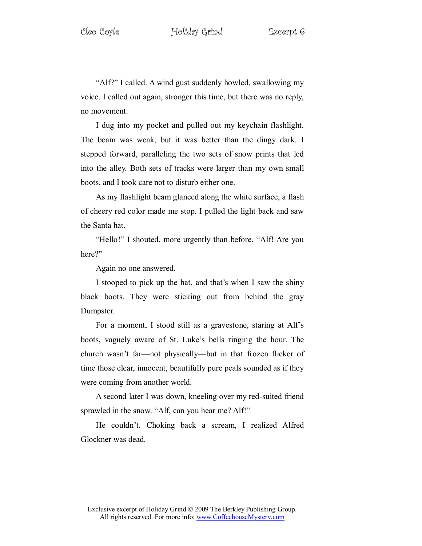ìAlf?î I called. A wind gust suddenly howled, swallowing my voice. I called out again, stronger this time, but there was no reply, no movement.

I dug into my pocket and pulled out my keychain flashlight. The beam was weak, but it was better than the dingy dark. I stepped forward, paralleling the two sets of snow prints that led into the alley. Both sets of tracks were larger than my own small boots, and I took care not to disturb either one.

As my flashlight beam glanced along the white surface, a flash of cheery red color made me stop. I pulled the light back and saw the Santa hat.

"Hello!" I shouted, more urgently than before. "Alf! Are you here?"

Again no one answered.

I stooped to pick up the hat, and that's when I saw the shiny black boots. They were sticking out from behind the gray Dumpster.

For a moment, I stood still as a gravestone, staring at Alf's boots, vaguely aware of St. Luke's bells ringing the hour. The church wasn't far—not physically—but in that frozen flicker of time those clear, innocent, beautifully pure peals sounded as if they were coming from another world.

A second later I was down, kneeling over my red-suited friend sprawled in the snow. "Alf, can you hear me? Alf!"

He couldn't. Choking back a scream, I realized Alfred Glockner was dead.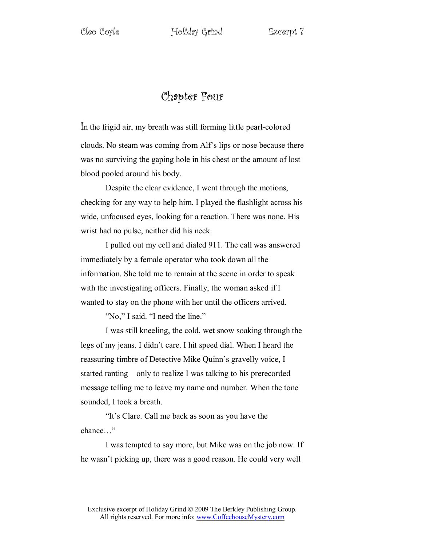# Chapter Four

In the frigid air, my breath was still forming little pearl-colored clouds. No steam was coming from Alf's lips or nose because there was no surviving the gaping hole in his chest or the amount of lost blood pooled around his body.

Despite the clear evidence, I went through the motions, checking for any way to help him. I played the flashlight across his wide, unfocused eyes, looking for a reaction. There was none. His wrist had no pulse, neither did his neck.

I pulled out my cell and dialed 911. The call was answered immediately by a female operator who took down all the information. She told me to remain at the scene in order to speak with the investigating officers. Finally, the woman asked if I wanted to stay on the phone with her until the officers arrived.

"No," I said. "I need the line."

I was still kneeling, the cold, wet snow soaking through the legs of my jeans. I didn't care. I hit speed dial. When I heard the reassuring timbre of Detective Mike Quinn's gravelly voice, I started ranting—only to realize I was talking to his prerecorded message telling me to leave my name and number. When the tone sounded, I took a breath.

"It's Clare. Call me back as soon as you have the chance<sup>"</sup>

I was tempted to say more, but Mike was on the job now. If he wasn't picking up, there was a good reason. He could very well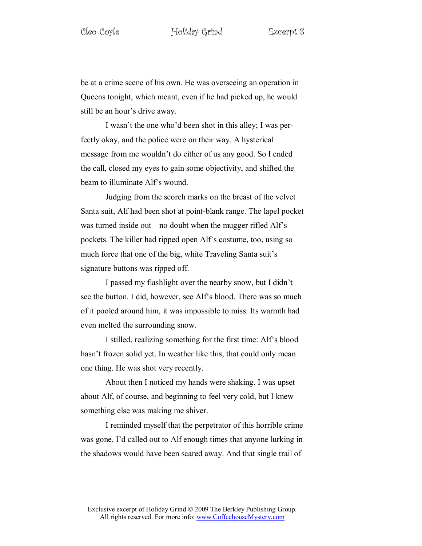be at a crime scene of his own. He was overseeing an operation in Queens tonight, which meant, even if he had picked up, he would still be an hour's drive away.

I wasn't the one who'd been shot in this alley; I was perfectly okay, and the police were on their way. A hysterical message from me wouldn't do either of us any good. So I ended the call, closed my eyes to gain some objectivity, and shifted the beam to illuminate Alf's wound.

Judging from the scorch marks on the breast of the velvet Santa suit, Alf had been shot at point-blank range. The lapel pocket was turned inside out—no doubt when the mugger rifled Alf's pockets. The killer had ripped open Alf's costume, too, using so much force that one of the big, white Traveling Santa suit's signature buttons was ripped off.

I passed my flashlight over the nearby snow, but I didn't see the button. I did, however, see Alf's blood. There was so much of it pooled around him, it was impossible to miss. Its warmth had even melted the surrounding snow.

I stilled, realizing something for the first time: Alf's blood hasn't frozen solid yet. In weather like this, that could only mean one thing. He was shot very recently.

About then I noticed my hands were shaking. I was upset about Alf, of course, and beginning to feel very cold, but I knew something else was making me shiver.

I reminded myself that the perpetrator of this horrible crime was gone. I'd called out to Alf enough times that anyone lurking in the shadows would have been scared away. And that single trail of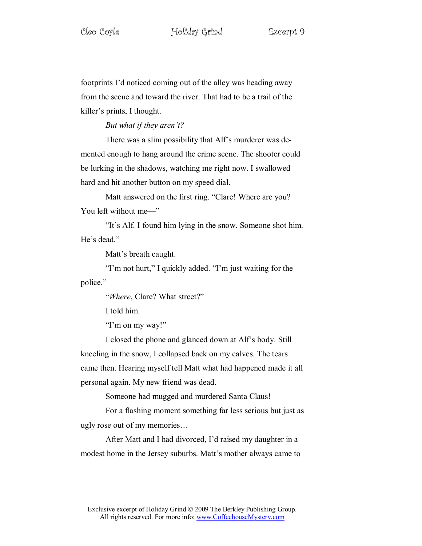footprints I'd noticed coming out of the alley was heading away from the scene and toward the river. That had to be a trail of the killer's prints, I thought.

*But what if they aren't?* 

There was a slim possibility that Alf's murderer was demented enough to hang around the crime scene. The shooter could be lurking in the shadows, watching me right now. I swallowed hard and hit another button on my speed dial.

Matt answered on the first ring. "Clare! Where are you? You left without me $\rightarrow$ "

"It's Alf. I found him lying in the snow. Someone shot him. He's dead."

Matt's breath caught.

"I'm not hurt," I quickly added. "I'm just waiting for the police."

*<sup>\*</sup>Where*, Clare? What street?"

I told him.

 $\lq$ <sup>T</sup> $\lq$ <sup>m</sup> on my way!"

I closed the phone and glanced down at Alf's body. Still kneeling in the snow, I collapsed back on my calves. The tears came then. Hearing myself tell Matt what had happened made it all personal again. My new friend was dead.

Someone had mugged and murdered Santa Claus!

For a flashing moment something far less serious but just as ugly rose out of my memories...

After Matt and I had divorced, I'd raised my daughter in a modest home in the Jersey suburbs. Matt's mother always came to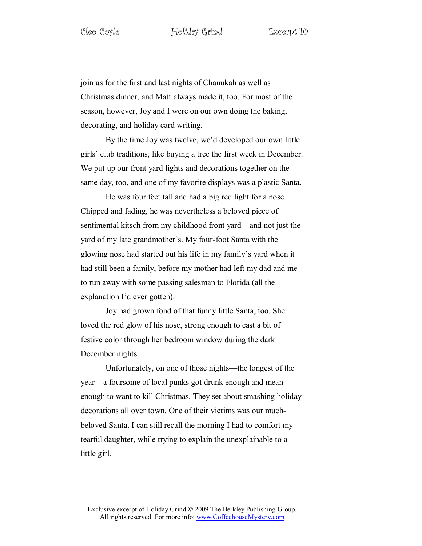join us for the first and last nights of Chanukah as well as Christmas dinner, and Matt always made it, too. For most of the season, however, Joy and I were on our own doing the baking, decorating, and holiday card writing.

By the time Joy was twelve, we'd developed our own little girls' club traditions, like buying a tree the first week in December. We put up our front yard lights and decorations together on the same day, too, and one of my favorite displays was a plastic Santa.

He was four feet tall and had a big red light for a nose. Chipped and fading, he was nevertheless a beloved piece of sentimental kitsch from my childhood front yard—and not just the yard of my late grandmother's. My four-foot Santa with the glowing nose had started out his life in my family's yard when it had still been a family, before my mother had left my dad and me to run away with some passing salesman to Florida (all the explanation I'd ever gotten).

Joy had grown fond of that funny little Santa, too. She loved the red glow of his nose, strong enough to cast a bit of festive color through her bedroom window during the dark December nights.

Unfortunately, on one of those nights—the longest of the year—a foursome of local punks got drunk enough and mean enough to want to kill Christmas. They set about smashing holiday decorations all over town. One of their victims was our muchbeloved Santa. I can still recall the morning I had to comfort my tearful daughter, while trying to explain the unexplainable to a little girl.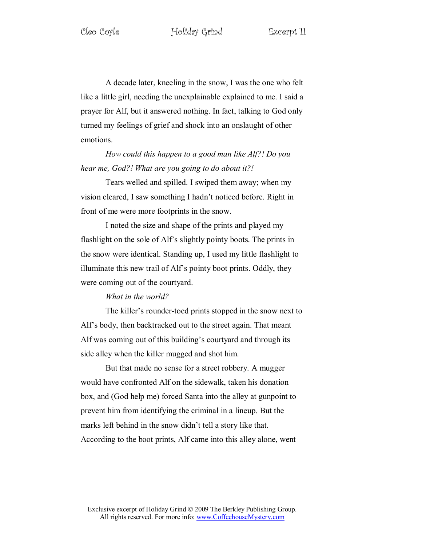A decade later, kneeling in the snow, I was the one who felt like a little girl, needing the unexplainable explained to me. I said a prayer for Alf, but it answered nothing. In fact, talking to God only turned my feelings of grief and shock into an onslaught of other emotions.

*How could this happen to a good man like Alf?! Do you hear me, God?! What are you going to do about it?!* 

Tears welled and spilled. I swiped them away; when my vision cleared, I saw something I hadn't noticed before. Right in front of me were more footprints in the snow.

I noted the size and shape of the prints and played my flashlight on the sole of Alf's slightly pointy boots. The prints in the snow were identical. Standing up, I used my little flashlight to illuminate this new trail of Alf's pointy boot prints. Oddly, they were coming out of the courtyard.

#### *What in the world?*

The killer's rounder-toed prints stopped in the snow next to Alf's body, then backtracked out to the street again. That meant Alf was coming out of this building's courtyard and through its side alley when the killer mugged and shot him.

But that made no sense for a street robbery. A mugger would have confronted Alf on the sidewalk, taken his donation box, and (God help me) forced Santa into the alley at gunpoint to prevent him from identifying the criminal in a lineup. But the marks left behind in the snow didn't tell a story like that. According to the boot prints, Alf came into this alley alone, went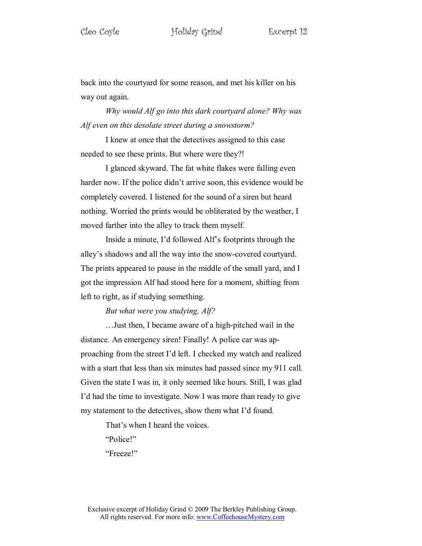back into the courtyard for some reason, and met his killer on his way out again.

*Why would Alf go into this dark courtyard alone? Why was Alf even on this desolate street during a snowstorm?* 

I knew at once that the detectives assigned to this case needed to see these prints. But where were they?!

I glanced skyward. The fat white flakes were falling even harder now. If the police didn't arrive soon, this evidence would be completely covered. I listened for the sound of a siren but heard nothing. Worried the prints would be obliterated by the weather, I moved farther into the alley to track them myself.

Inside a minute, I'd followed Alf's footprints through the alley's shadows and all the way into the snow-covered courtyard. The prints appeared to pause in the middle of the small yard, and I got the impression Alf had stood here for a moment, shifting from left to right, as if studying something.

*But what were you studying, Alf?* 

... Just then, I became aware of a high-pitched wail in the distance. An emergency siren! Finally! A police car was approaching from the street Iíd left. I checked my watch and realized with a start that less than six minutes had passed since my 911 call. Given the state I was in, it only seemed like hours. Still, I was glad I'd had the time to investigate. Now I was more than ready to give my statement to the detectives, show them what I'd found.

That's when I heard the voices.

"Police!"

"Freeze!"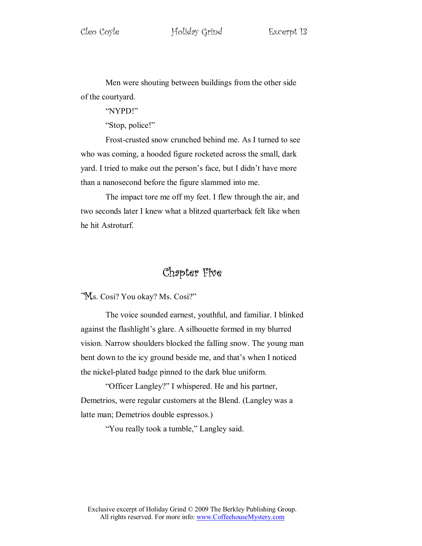Men were shouting between buildings from the other side of the courtyard.

ìNYPD!î

"Stop, police!"

Frost-crusted snow crunched behind me. As I turned to see who was coming, a hooded figure rocketed across the small, dark yard. I tried to make out the person's face, but I didn't have more than a nanosecond before the figure slammed into me.

The impact tore me off my feet. I flew through the air, and two seconds later I knew what a blitzed quarterback felt like when he hit Astroturf.

# Chapter Five

"M<sub>s.</sub> Cosi? You okay? Ms. Cosi?"

The voice sounded earnest, youthful, and familiar. I blinked against the flashlight's glare. A silhouette formed in my blurred vision. Narrow shoulders blocked the falling snow. The young man bent down to the icy ground beside me, and that's when I noticed the nickel-plated badge pinned to the dark blue uniform.

ìOfficer Langley?î I whispered. He and his partner, Demetrios, were regular customers at the Blend. (Langley was a latte man; Demetrios double espressos.)

"You really took a tumble," Langley said.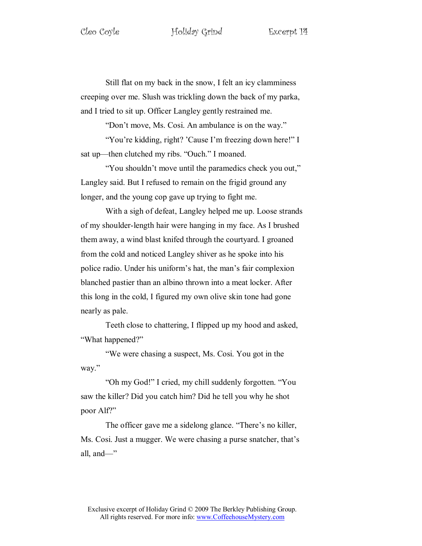Still flat on my back in the snow, I felt an icy clamminess creeping over me. Slush was trickling down the back of my parka, and I tried to sit up. Officer Langley gently restrained me.

"Don't move, Ms. Cosi. An ambulance is on the way."

"You're kidding, right? 'Cause I'm freezing down here!" I sat up—then clutched my ribs. "Ouch." I moaned.

"You shouldn't move until the paramedics check you out," Langley said. But I refused to remain on the frigid ground any longer, and the young cop gave up trying to fight me.

With a sigh of defeat, Langley helped me up. Loose strands of my shoulder-length hair were hanging in my face. As I brushed them away, a wind blast knifed through the courtyard. I groaned from the cold and noticed Langley shiver as he spoke into his police radio. Under his uniform's hat, the man's fair complexion blanched pastier than an albino thrown into a meat locker. After this long in the cold, I figured my own olive skin tone had gone nearly as pale.

Teeth close to chattering, I flipped up my hood and asked, "What happened?"

ìWe were chasing a suspect, Ms. Cosi. You got in the way."

"Oh my God!" I cried, my chill suddenly forgotten. "You saw the killer? Did you catch him? Did he tell you why he shot poor Alf?"

The officer gave me a sidelong glance. "There's no killer, Ms. Cosi. Just a mugger. We were chasing a purse snatcher, that's all, and  $\equiv$ "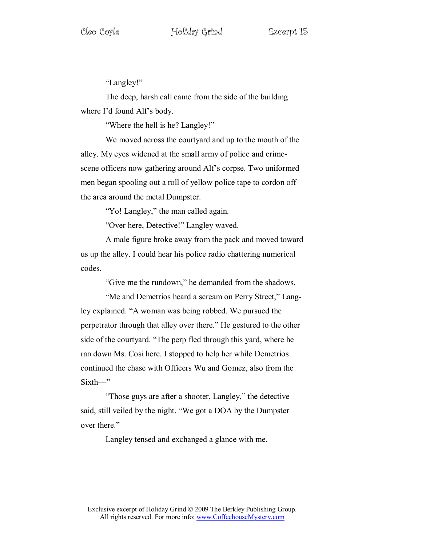"Langley!"

The deep, harsh call came from the side of the building where I'd found Alf's body.

"Where the hell is he? Langley!"

We moved across the courtyard and up to the mouth of the alley. My eyes widened at the small army of police and crimescene officers now gathering around Alf's corpse. Two uniformed men began spooling out a roll of yellow police tape to cordon off the area around the metal Dumpster.

"Yo! Langley," the man called again.

"Over here, Detective!" Langley waved.

A male figure broke away from the pack and moved toward us up the alley. I could hear his police radio chattering numerical codes.

"Give me the rundown," he demanded from the shadows.

"Me and Demetrios heard a scream on Perry Street," Langley explained. "A woman was being robbed. We pursued the perpetrator through that alley over there." He gestured to the other side of the courtyard. "The perp fled through this yard, where he ran down Ms. Cosi here. I stopped to help her while Demetrios continued the chase with Officers Wu and Gomez, also from the Sixth-"

"Those guys are after a shooter, Langley," the detective said, still veiled by the night. "We got a DOA by the Dumpster over there."

Langley tensed and exchanged a glance with me.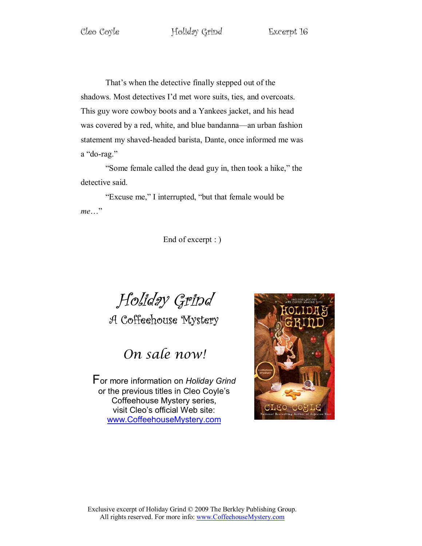That's when the detective finally stepped out of the shadows. Most detectives I'd met wore suits, ties, and overcoats. This guy wore cowboy boots and a Yankees jacket, and his head was covered by a red, white, and blue bandanna—an urban fashion statement my shaved-headed barista, Dante, once informed me was a "do-rag."

"Some female called the dead guy in, then took a hike," the detective said.

"Excuse me," I interrupted, "but that female would be  $me$ ...<sup>"</sup>

End of excerpt :  $)$ 

Holiday Grind A Coffeehouse Mystery

On sale now!

For more information on *Holiday Grind* or the previous titles in Cleo Coyle's Coffeehouse Mystery series, visit Cleo's official Web site: www.CoffeehouseMystery.com

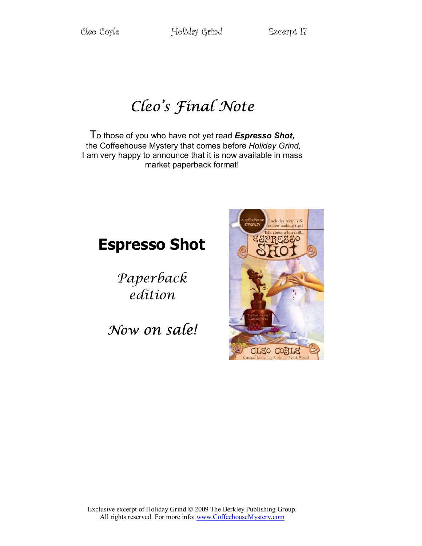# Cleo's *Final* Note

To those of you who have not yet read *Espresso Shot,*  the Coffeehouse Mystery that comes before *Holiday Grind,*  I am very happy to announce that it is now available in mass market paperback format!

# **Espresso Shot**

Paperback edition

Now on sale!